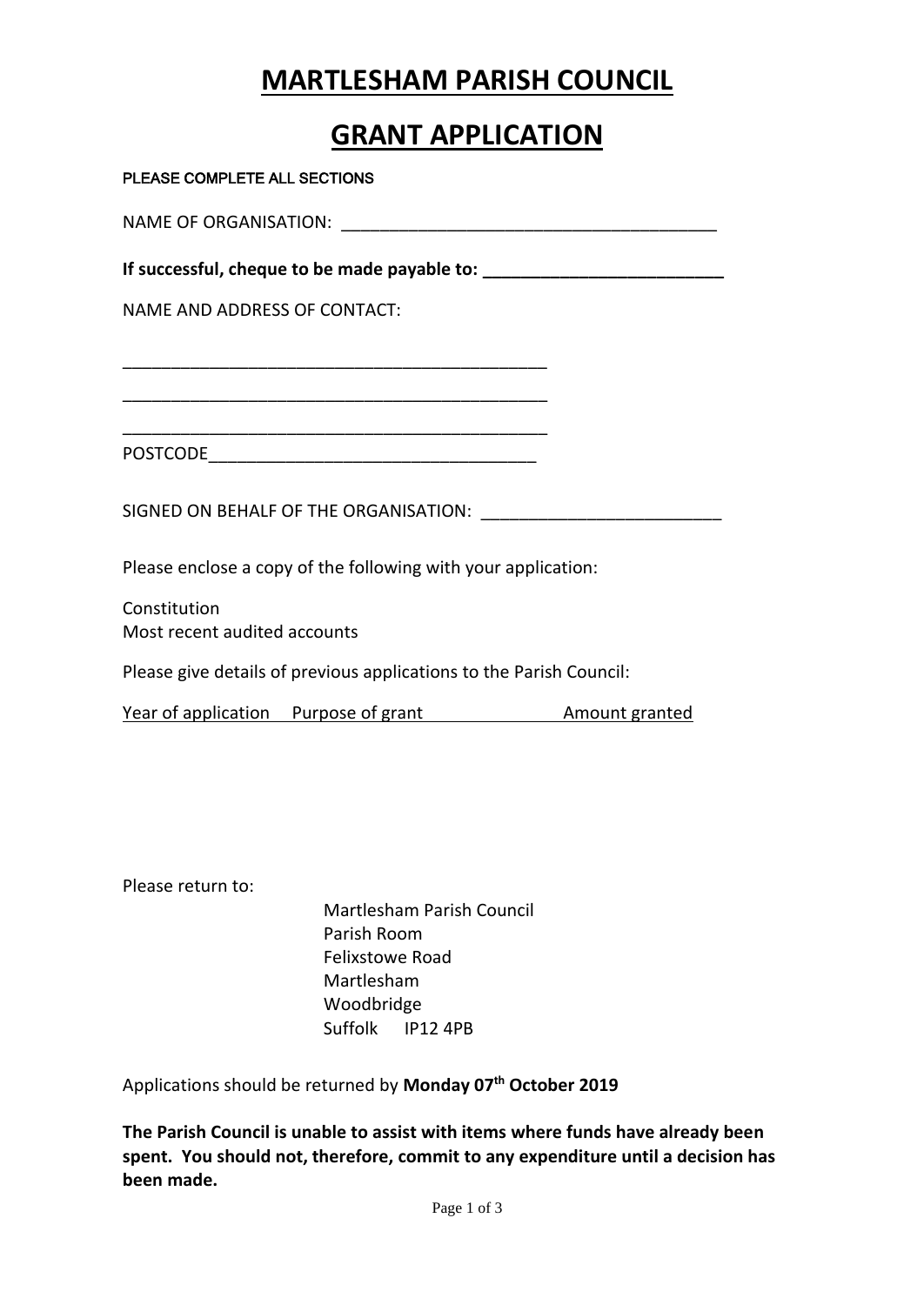## **MARTLESHAM PARISH COUNCIL**

## **GRANT APPLICATION**

| PLEASE COMPLETE ALL SECTIONS                                        |  |
|---------------------------------------------------------------------|--|
|                                                                     |  |
|                                                                     |  |
| NAME AND ADDRESS OF CONTACT:                                        |  |
|                                                                     |  |
|                                                                     |  |
|                                                                     |  |
|                                                                     |  |
| Please enclose a copy of the following with your application:       |  |
| Constitution<br>Most recent audited accounts                        |  |
| Please give details of previous applications to the Parish Council: |  |
| Year of application Purpose of grant Amount granted                 |  |
|                                                                     |  |

Please return to:

Martlesham Parish Council Parish Room Felixstowe Road Martlesham Woodbridge Suffolk IP12 4PB

Applications should be returned by **Monday 07 th October 2019**

**The Parish Council is unable to assist with items where funds have already been spent. You should not, therefore, commit to any expenditure until a decision has been made.**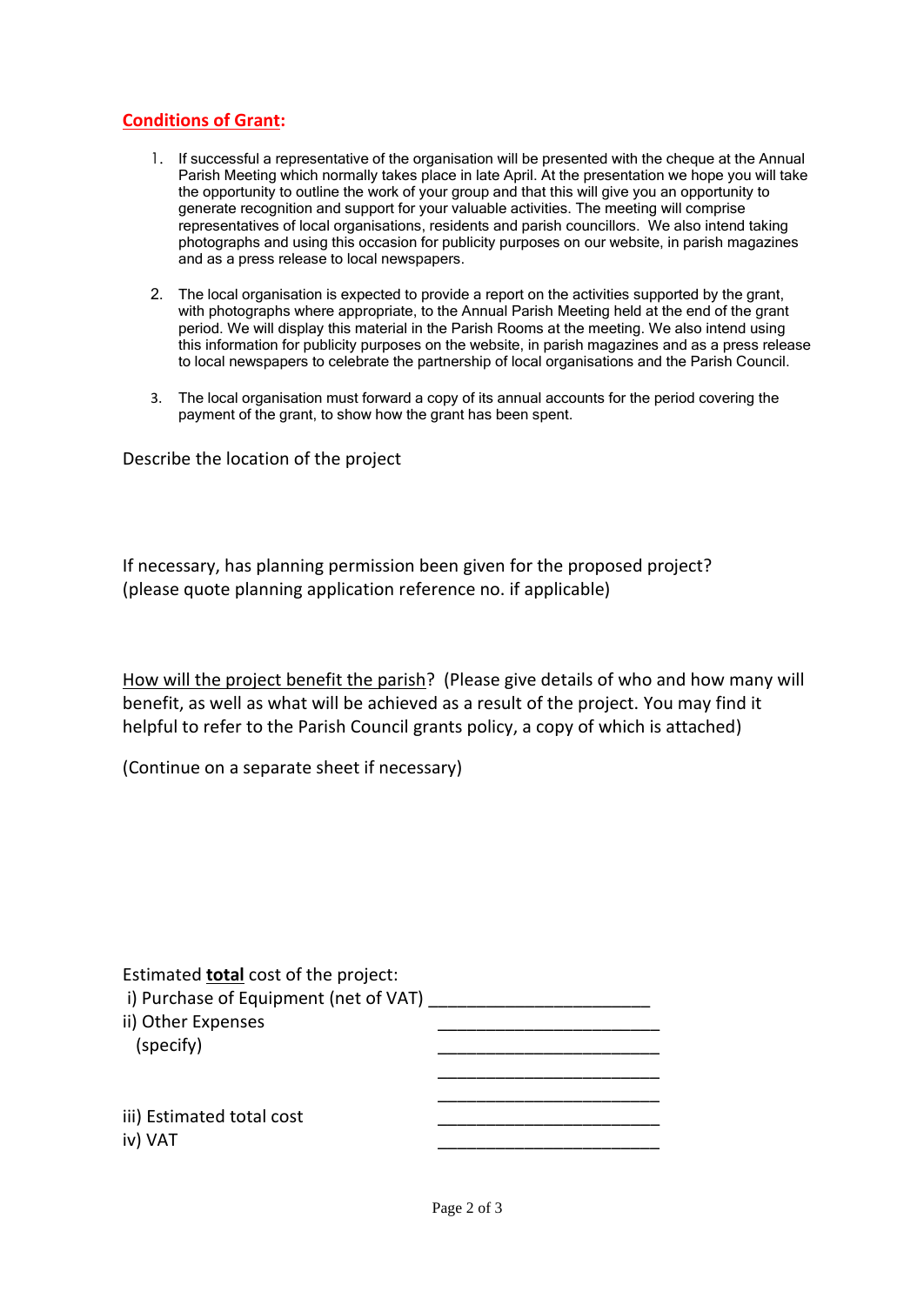## **Conditions of Grant:**

- 1. If successful a representative of the organisation will be presented with the cheque at the Annual Parish Meeting which normally takes place in late April. At the presentation we hope you will take the opportunity to outline the work of your group and that this will give you an opportunity to generate recognition and support for your valuable activities. The meeting will comprise representatives of local organisations, residents and parish councillors. We also intend taking photographs and using this occasion for publicity purposes on our website, in parish magazines and as a press release to local newspapers.
- 2. The local organisation is expected to provide a report on the activities supported by the grant, with photographs where appropriate, to the Annual Parish Meeting held at the end of the grant period. We will display this material in the Parish Rooms at the meeting. We also intend using this information for publicity purposes on the website, in parish magazines and as a press release to local newspapers to celebrate the partnership of local organisations and the Parish Council.
- 3. The local organisation must forward a copy of its annual accounts for the period covering the payment of the grant, to show how the grant has been spent.

Describe the location of the project

If necessary, has planning permission been given for the proposed project? (please quote planning application reference no. if applicable)

How will the project benefit the parish? (Please give details of who and how many will benefit, as well as what will be achieved as a result of the project. You may find it helpful to refer to the Parish Council grants policy, a copy of which is attached)

(Continue on a separate sheet if necessary)

| i) Purchase of Equipment (net of VAT) |
|---------------------------------------|
|                                       |
|                                       |
|                                       |
|                                       |
|                                       |
|                                       |
|                                       |